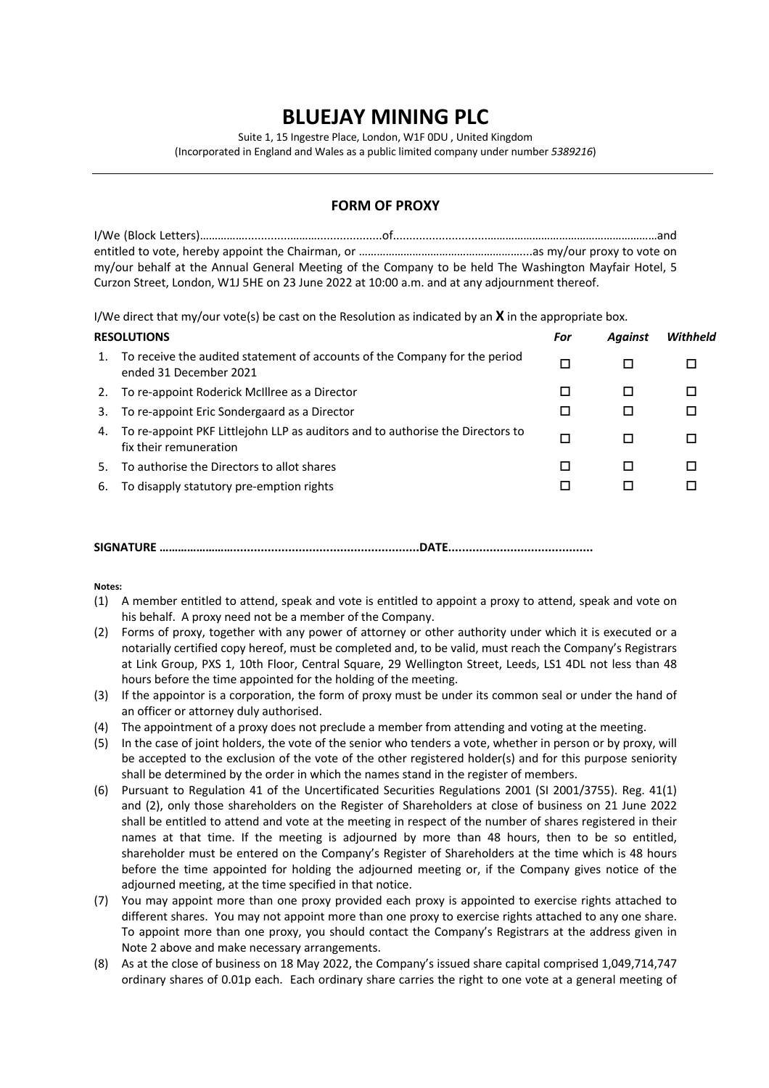## **BLUEJAY MINING PLC**

Suite 1, 15 Ingestre Place, London, W1F 0DU , United Kingdom

(Incorporated in England and Wales as a public limited company under number *5389216*)

## **FORM OF PROXY**

I/We (Block Letters)……………..............………....................of.............................…………………………………………………and entitled to vote, hereby appoint the Chairman, or ………………………………………………....as my/our proxy to vote on my/our behalf at the Annual General Meeting of the Company to be held The Washington Mayfair Hotel, 5 Curzon Street, London, W1J 5HE on 23 June 2022 at 10:00 a.m. and at any adjournment thereof.

I/We direct that my/our vote(s) be cast on the Resolution as indicated by an **X** in the appropriate box.

| <b>RESOLUTIONS</b> |                                                                                                          | For | <b>Against</b> | Withheld |
|--------------------|----------------------------------------------------------------------------------------------------------|-----|----------------|----------|
| 1.                 | To receive the audited statement of accounts of the Company for the period<br>ended 31 December 2021     | □   |                | П        |
| 2.                 | To re-appoint Roderick McIllree as a Director                                                            | П   |                |          |
| 3.                 | To re-appoint Eric Sondergaard as a Director                                                             | □   | ப              | П        |
| 4.                 | To re-appoint PKF Littlejohn LLP as auditors and to authorise the Directors to<br>fix their remuneration | □   |                | П        |
| 5.                 | To authorise the Directors to allot shares                                                               | П   |                |          |
| 6.                 | To disapply statutory pre-emption rights                                                                 | г   |                |          |
|                    |                                                                                                          |     |                |          |

**SIGNATURE ……………………......................................................DATE..........................................**

**Notes:**

- (1) A member entitled to attend, speak and vote is entitled to appoint a proxy to attend, speak and vote on his behalf. A proxy need not be a member of the Company.
- (2) Forms of proxy, together with any power of attorney or other authority under which it is executed or a notarially certified copy hereof, must be completed and, to be valid, must reach the Company's Registrars at Link Group, PXS 1, 10th Floor, Central Square, 29 Wellington Street, Leeds, LS1 4DL not less than 48 hours before the time appointed for the holding of the meeting.
- (3) If the appointor is a corporation, the form of proxy must be under its common seal or under the hand of an officer or attorney duly authorised.
- (4) The appointment of a proxy does not preclude a member from attending and voting at the meeting.
- (5) In the case of joint holders, the vote of the senior who tenders a vote, whether in person or by proxy, will be accepted to the exclusion of the vote of the other registered holder(s) and for this purpose seniority shall be determined by the order in which the names stand in the register of members.
- (6) Pursuant to Regulation 41 of the Uncertificated Securities Regulations 2001 (SI 2001/3755). Reg. 41(1) and (2), only those shareholders on the Register of Shareholders at close of business on 21 June 2022 shall be entitled to attend and vote at the meeting in respect of the number of shares registered in their names at that time. If the meeting is adjourned by more than 48 hours, then to be so entitled, shareholder must be entered on the Company's Register of Shareholders at the time which is 48 hours before the time appointed for holding the adjourned meeting or, if the Company gives notice of the adjourned meeting, at the time specified in that notice.
- (7) You may appoint more than one proxy provided each proxy is appointed to exercise rights attached to different shares. You may not appoint more than one proxy to exercise rights attached to any one share. To appoint more than one proxy, you should contact the Company's Registrars at the address given in Note 2 above and make necessary arrangements.
- (8) As at the close of business on 18 May 2022, the Company's issued share capital comprised 1,049,714,747 ordinary shares of 0.01p each. Each ordinary share carries the right to one vote at a general meeting of